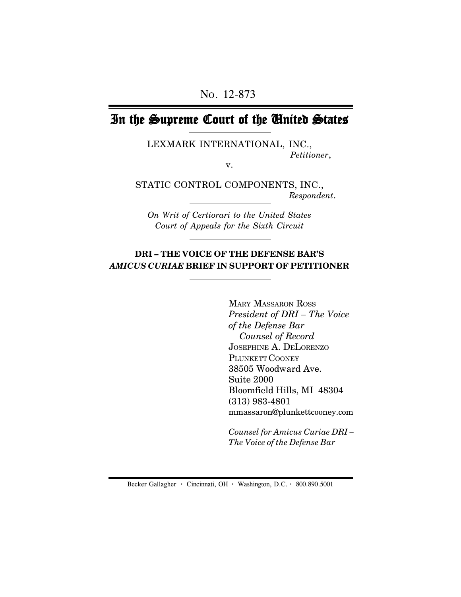# In the Supreme Court of the United States

LEXMARK INTERNATIONAL, INC., *Petitioner*,

v.

STATIC CONTROL COMPONENTS, INC., *Respondent*.

*On Writ of Certiorari to the United States Court of Appeals for the Sixth Circuit*

## **DRI – THE VOICE OF THE DEFENSE BAR'S** *AMICUS CURIAE* **BRIEF IN SUPPORT OF PETITIONER**

MARY MASSARON ROSS *President of DRI – The Voice of the Defense Bar Counsel of Record* JOSEPHINE A. DELORENZO PLUNKETT COONEY 38505 Woodward Ave. Suite 2000 Bloomfield Hills, MI 48304 (313) 983-4801 mmassaron@plunkettcooney.com

*Counsel for Amicus Curiae DRI – The Voice of the Defense Bar*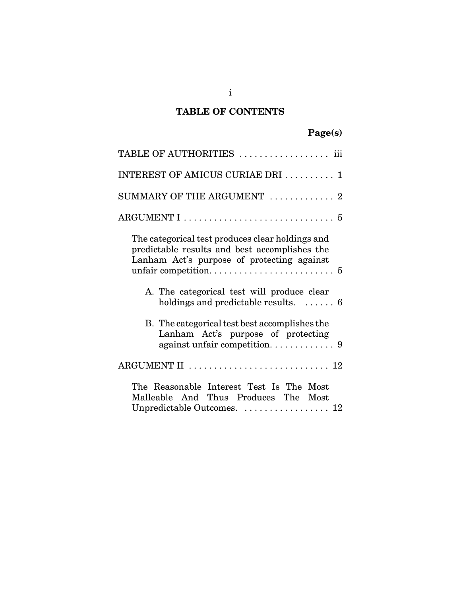## **TABLE OF CONTENTS**

| Page(s) |
|---------|
|---------|

| TABLE OF AUTHORITIES  iii                                                                                                                       |
|-------------------------------------------------------------------------------------------------------------------------------------------------|
| INTEREST OF AMICUS CURIAE DRI  1                                                                                                                |
| SUMMARY OF THE ARGUMENT $\ldots \ldots \ldots \ldots$                                                                                           |
| $\text{ARGUMENT I} \dots \dots \dots \dots \dots \dots \dots \dots \dots \dots \dots \dots \dots \dots \dots \dots$                             |
| The categorical test produces clear holdings and<br>predictable results and best accomplishes the<br>Lanham Act's purpose of protecting against |
| A. The categorical test will produce clear<br>holdings and predictable results. $\dots \dots 6$                                                 |
| B. The categorical test best accomplishes the<br>Lanham Act's purpose of protecting                                                             |
| ARGUMENT II $\ldots \ldots \ldots \ldots \ldots \ldots \ldots \ldots 12$                                                                        |
| The Reasonable Interest Test Is The Most<br>Malleable And Thus Produces The Most<br>Unpredictable Outcomes.  12                                 |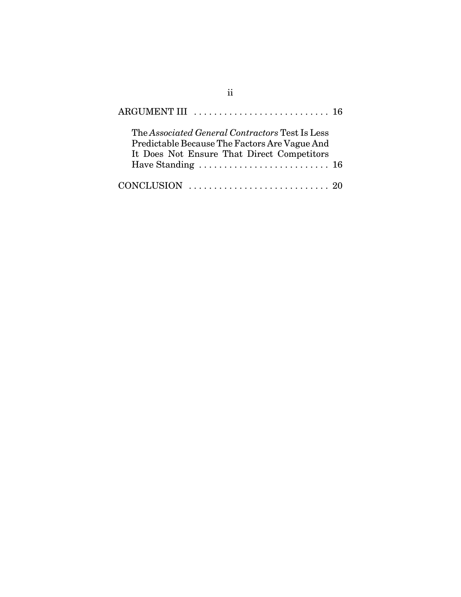| The Associated General Contractors Test Is Less<br>Predictable Because The Factors Are Vague And<br>It Does Not Ensure That Direct Competitors<br>Have Standing $\ldots \ldots \ldots \ldots \ldots \ldots \ldots \ldots 16$ |  |
|------------------------------------------------------------------------------------------------------------------------------------------------------------------------------------------------------------------------------|--|
| CONCLUSION $\ldots \ldots \ldots \ldots \ldots \ldots \ldots \ldots \ldots$ 20                                                                                                                                               |  |

ii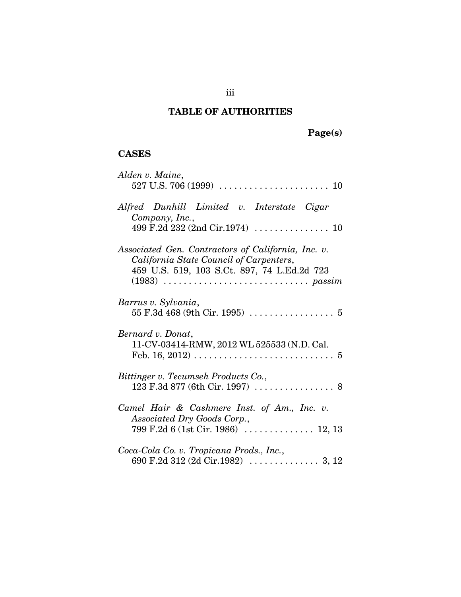## **TABLE OF AUTHORITIES**

**Page(s)**

## **CASES**

| Alden v. Maine,                                                                                                                                      |
|------------------------------------------------------------------------------------------------------------------------------------------------------|
| Alfred Dunhill Limited v. Interstate Cigar<br>Company, Inc.,<br>499 F.2d 232 (2nd Cir.1974) $\ldots \ldots \ldots \ldots \ldots 10$                  |
| Associated Gen. Contractors of California, Inc. v.<br>California State Council of Carpenters,<br>459 U.S. 519, 103 S.Ct. 897, 74 L.Ed.2d 723         |
| Barrus v. Sylvania,                                                                                                                                  |
| Bernard v. Donat,<br>11-CV-03414-RMW, 2012 WL 525533 (N.D. Cal.<br>Feb. 16, 2012) $\ldots \ldots \ldots \ldots \ldots \ldots \ldots \ldots \ldots 5$ |
| Bittinger v. Tecumseh Products Co.,                                                                                                                  |
| Camel Hair & Cashmere Inst. of Am., Inc. v.<br>Associated Dry Goods Corp.,                                                                           |
| Coca-Cola Co. v. Tropicana Prods., Inc.,                                                                                                             |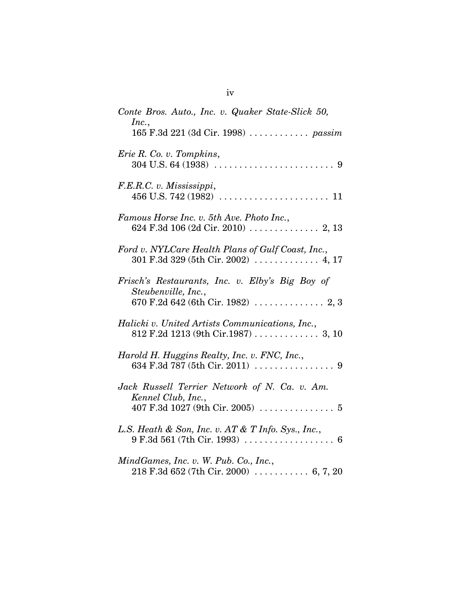| Conte Bros. Auto., Inc. v. Quaker State-Slick 50,<br>Inc.,<br>165 F.3d 221 (3d Cir. 1998)  passim                                    |
|--------------------------------------------------------------------------------------------------------------------------------------|
| Erie R. Co. v. Tompkins,                                                                                                             |
| F.E.R.C. v. Mississippi,                                                                                                             |
| Famous Horse Inc. v. 5th Ave. Photo Inc.,                                                                                            |
| Ford v. NYLCare Health Plans of Gulf Coast, Inc.,                                                                                    |
| Frisch's Restaurants, Inc. v. Elby's Big Boy of<br>Steubenville, Inc.,                                                               |
| Halicki v. United Artists Communications, Inc.,                                                                                      |
| Harold H. Huggins Realty, Inc. v. FNC, Inc.,                                                                                         |
| Jack Russell Terrier Network of N. Ca. v. Am.<br>Kennel Club, Inc.,<br>407 F.3d 1027 (9th Cir. 2005) $\ldots \ldots \ldots \ldots 5$ |
| L.S. Heath & Son, Inc. v. AT & T Info. Sys., Inc.,<br>$9 \text{ F.}3\text{d }561 \text{ (7th Cir. 1993)} \text{ 6}$                  |
| MindGames, Inc. v. W. Pub. Co., Inc.,<br>$218$ F.3d 652 (7th Cir. 2000)  6, 7, 20                                                    |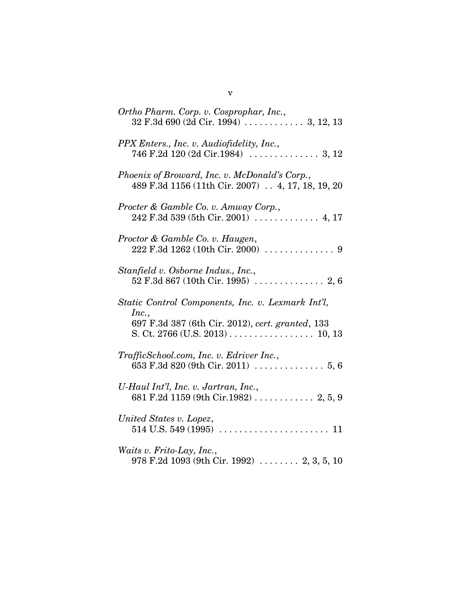| Ortho Pharm. Corp. v. Cosprophar, Inc.,                                                             |
|-----------------------------------------------------------------------------------------------------|
| PPX Enters., Inc. v. Audiofidelity, Inc.,                                                           |
| Phoenix of Broward, Inc. v. McDonald's Corp.,<br>489 F.3d 1156 (11th Cir. 2007) . 4, 17, 18, 19, 20 |
| Procter & Gamble Co. v. Amway Corp.,<br>$242$ F.3d 539 (5th Cir. 2001)  4, 17                       |
| Proctor & Gamble Co. v. Haugen,                                                                     |
| Stanfield v. Osborne Indus., Inc.,                                                                  |
| Static Control Components, Inc. v. Lexmark Int'l,                                                   |
| Inc.,<br>697 F.3d 387 (6th Cir. 2012), cert. granted, 133<br>S. Ct. 2766 (U.S. 2013) 10, 13         |
| TrafficSchool.com, Inc. v. Edriver Inc.,                                                            |
| U-Haul Int'l, Inc. v. Jartran, Inc.,                                                                |
| United States v. Lopez,                                                                             |
| Waits v. Frito-Lay, Inc.,<br>978 F.2d 1093 (9th Cir. 1992)  2, 3, 5, 10                             |

v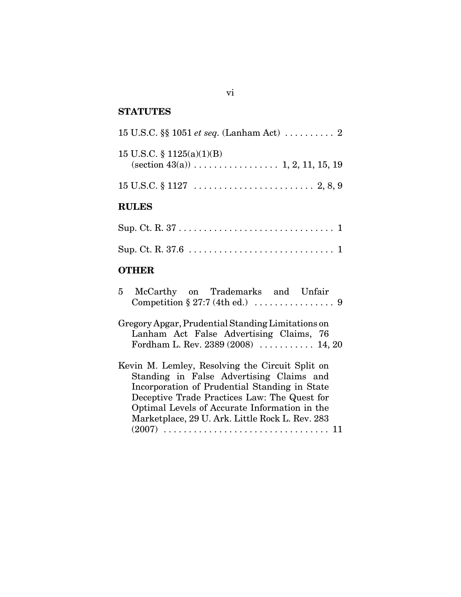## **STATUTES**

| <b>RULES</b>                                                                                                    |
|-----------------------------------------------------------------------------------------------------------------|
| $15 \text{ U.S.C.} \S 1127 \ldots \ldots \ldots \ldots \ldots \ldots \ldots \ldots \ldots \ldots \ldots \ldots$ |
| 15 U.S.C. § $1125(a)(1)(B)$                                                                                     |
|                                                                                                                 |

## **OTHER**

| 5 McCarthy on Trademarks and Unfair               |  |
|---------------------------------------------------|--|
| Gregory Apgar, Prudential Standing Limitations on |  |
| Lanham Act False Advertising Claims, 76           |  |
| Fordham L. Rev. $2389 (2008)$ 14, 20              |  |
| Kevin M. Lemley, Resolving the Circuit Split on   |  |
| Standing in False Advertising Claims and          |  |
| Incorporation of Prudential Standing in State     |  |
| Deceptive Trade Practices Law: The Quest for      |  |
| Optimal Levels of Accurate Information in the     |  |
| Marketplace, 29 U. Ark. Little Rock L. Rev. 283   |  |
| $(2007)$                                          |  |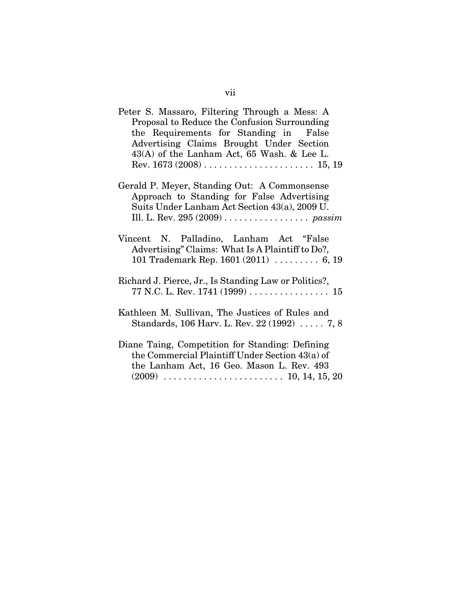| Peter S. Massaro, Filtering Through a Mess: A                                               |
|---------------------------------------------------------------------------------------------|
| Proposal to Reduce the Confusion Surrounding                                                |
| the Requirements for Standing in False                                                      |
| Advertising Claims Brought Under Section                                                    |
| $43(A)$ of the Lanham Act, 65 Wash. & Lee L.                                                |
|                                                                                             |
|                                                                                             |
| Gerald P. Meyer, Standing Out: A Commonsense                                                |
| Approach to Standing for False Advertising                                                  |
| Suits Under Lanham Act Section 43(a), 2009 U.                                               |
|                                                                                             |
|                                                                                             |
| Vincent N. Palladino, Lanham Act "False<br>Advertising" Claims: What Is A Plaintiff to Do?, |
| 101 Trademark Rep. $1601 (2011)$ 6, 19                                                      |
| Richard J. Pierce, Jr., Is Standing Law or Politics?,                                       |
|                                                                                             |
|                                                                                             |
| Kathleen M. Sullivan, The Justices of Rules and                                             |
| Standards, 106 Harv. L. Rev. 22 (1992)  7, 8                                                |
| Diane Taing, Competition for Standing: Defining                                             |
| the Commercial Plaintiff Under Section 43(a) of                                             |
| the Lanham Act, 16 Geo. Mason L. Rev. 493                                                   |
|                                                                                             |
|                                                                                             |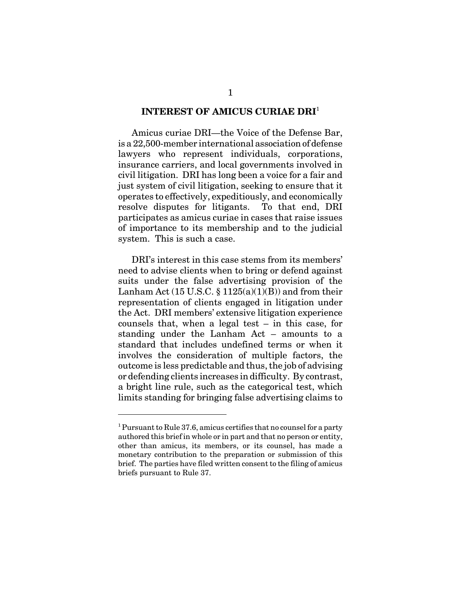#### **INTEREST OF AMICUS CURIAE DRI**<sup>1</sup>

Amicus curiae DRI—the Voice of the Defense Bar, is a 22,500-member international association of defense lawyers who represent individuals, corporations, insurance carriers, and local governments involved in civil litigation. DRI has long been a voice for a fair and just system of civil litigation, seeking to ensure that it operates to effectively, expeditiously, and economically resolve disputes for litigants. To that end, DRI participates as amicus curiae in cases that raise issues of importance to its membership and to the judicial system. This is such a case.

DRI's interest in this case stems from its members' need to advise clients when to bring or defend against suits under the false advertising provision of the Lanham Act  $(15 \text{ U.S.C.} \$  $(1125(a)(1)(B))$  and from their representation of clients engaged in litigation under the Act. DRI members' extensive litigation experience counsels that, when a legal test – in this case, for standing under the Lanham Act – amounts to a standard that includes undefined terms or when it involves the consideration of multiple factors, the outcome is less predictable and thus, the job of advising or defending clients increases in difficulty. By contrast, a bright line rule, such as the categorical test, which limits standing for bringing false advertising claims to

<sup>&</sup>lt;sup>1</sup> Pursuant to Rule 37.6, amicus certifies that no counsel for a party authored this brief in whole or in part and that no person or entity, other than amicus, its members, or its counsel, has made a monetary contribution to the preparation or submission of this brief. The parties have filed written consent to the filing of amicus briefs pursuant to Rule 37.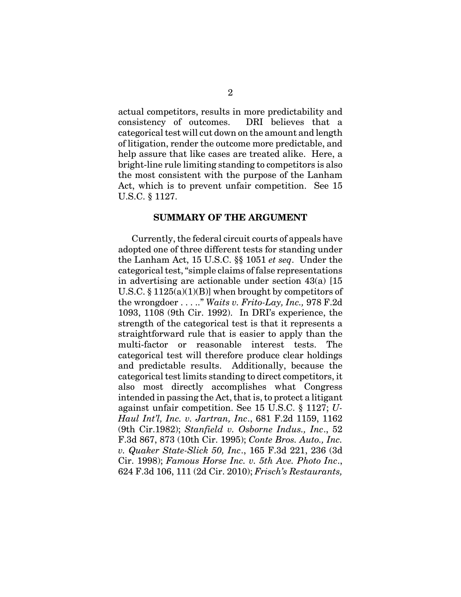actual competitors, results in more predictability and consistency of outcomes. DRI believes that a categorical test will cut down on the amount and length of litigation, render the outcome more predictable, and help assure that like cases are treated alike. Here, a bright-line rule limiting standing to competitors is also the most consistent with the purpose of the Lanham Act, which is to prevent unfair competition. See 15 U.S.C. § 1127.

#### **SUMMARY OF THE ARGUMENT**

Currently, the federal circuit courts of appeals have adopted one of three different tests for standing under the Lanham Act, 15 U.S.C. §§ 1051 *et seq*. Under the categorical test, "simple claims of false representations in advertising are actionable under section 43(a) [15 U.S.C.  $\S 1125(a)(1)(B)$  when brought by competitors of the wrongdoer . . . .." *Waits v. Frito-Lay, Inc.,* 978 F.2d 1093, 1108 (9th Cir. 1992). In DRI's experience, the strength of the categorical test is that it represents a straightforward rule that is easier to apply than the multi-factor or reasonable interest tests. The categorical test will therefore produce clear holdings and predictable results. Additionally, because the categorical test limits standing to direct competitors, it also most directly accomplishes what Congress intended in passing the Act, that is, to protect a litigant against unfair competition. See 15 U.S.C. § 1127; *U-Haul Int'l, Inc. v. Jartran, Inc*., 681 F.2d 1159, 1162 (9th Cir.1982); *Stanfield v. Osborne Indus., Inc*., 52 F.3d 867, 873 (10th Cir. 1995); *Conte Bros. Auto., Inc. v. Quaker State-Slick 50, Inc*., 165 F.3d 221, 236 (3d Cir. 1998); *Famous Horse Inc. v. 5th Ave. Photo Inc*., 624 F.3d 106, 111 (2d Cir. 2010); *Frisch's Restaurants,*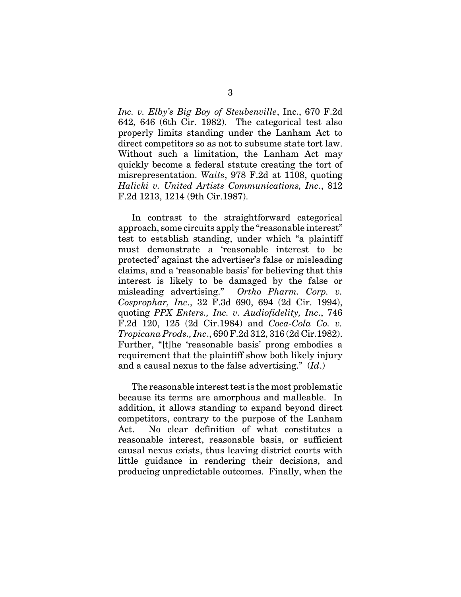*Inc. v. Elby's Big Boy of Steubenville*, Inc., 670 F.2d 642, 646 (6th Cir. 1982). The categorical test also properly limits standing under the Lanham Act to direct competitors so as not to subsume state tort law. Without such a limitation, the Lanham Act may quickly become a federal statute creating the tort of misrepresentation. *Waits*, 978 F.2d at 1108, quoting *Halicki v. United Artists Communications, Inc*., 812 F.2d 1213, 1214 (9th Cir.1987).

In contrast to the straightforward categorical approach, some circuits apply the "reasonable interest" test to establish standing, under which "a plaintiff must demonstrate a 'reasonable interest to be protected' against the advertiser's false or misleading claims, and a 'reasonable basis' for believing that this interest is likely to be damaged by the false or misleading advertising." *Ortho Pharm. Corp. v. Cosprophar, Inc*., 32 F.3d 690, 694 (2d Cir. 1994), quoting *PPX Enters., Inc. v. Audiofidelity, Inc*., 746 F.2d 120, 125 (2d Cir.1984) and *Coca-Cola Co. v. Tropicana Prods., Inc*., 690 F.2d 312, 316 (2d Cir.1982). Further, "[t]he 'reasonable basis' prong embodies a requirement that the plaintiff show both likely injury and a causal nexus to the false advertising." (*Id*.)

The reasonable interest test is the most problematic because its terms are amorphous and malleable. In addition, it allows standing to expand beyond direct competitors, contrary to the purpose of the Lanham Act. No clear definition of what constitutes a reasonable interest, reasonable basis, or sufficient causal nexus exists, thus leaving district courts with little guidance in rendering their decisions, and producing unpredictable outcomes. Finally, when the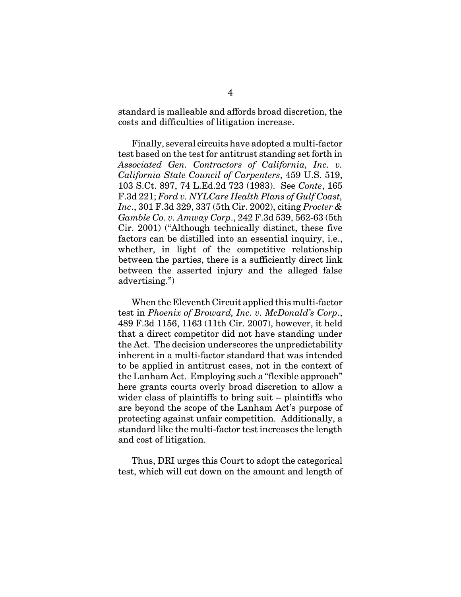standard is malleable and affords broad discretion, the costs and difficulties of litigation increase.

Finally, several circuits have adopted a multi-factor test based on the test for antitrust standing set forth in *Associated Gen. Contractors of California, Inc. v. California State Council of Carpenters*, 459 U.S. 519, 103 S.Ct. 897, 74 L.Ed.2d 723 (1983). See *Conte*, 165 F.3d 221; *Ford v. NYLCare Health Plans of Gulf Coast, Inc*., 301 F.3d 329, 337 (5th Cir. 2002), citing *Procter & Gamble Co. v. Amway Corp*., 242 F.3d 539, 562-63 (5th Cir. 2001) ("Although technically distinct, these five factors can be distilled into an essential inquiry, i.e., whether, in light of the competitive relationship between the parties, there is a sufficiently direct link between the asserted injury and the alleged false advertising.")

When the Eleventh Circuit applied this multi-factor test in *Phoenix of Broward, Inc. v. McDonald's Corp*., 489 F.3d 1156, 1163 (11th Cir. 2007), however, it held that a direct competitor did not have standing under the Act. The decision underscores the unpredictability inherent in a multi-factor standard that was intended to be applied in antitrust cases, not in the context of the Lanham Act. Employing such a "flexible approach" here grants courts overly broad discretion to allow a wider class of plaintiffs to bring suit – plaintiffs who are beyond the scope of the Lanham Act's purpose of protecting against unfair competition. Additionally, a standard like the multi-factor test increases the length and cost of litigation.

Thus, DRI urges this Court to adopt the categorical test, which will cut down on the amount and length of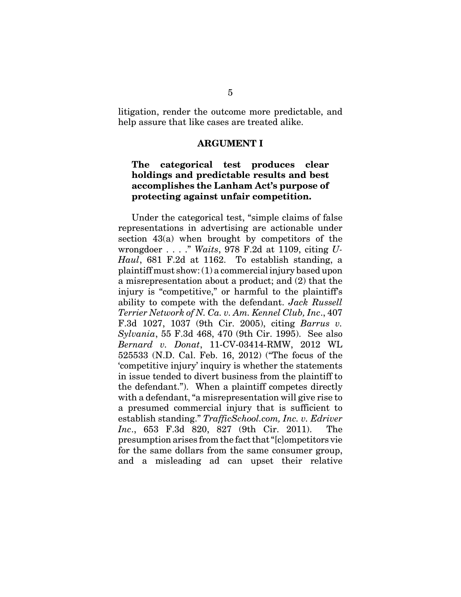litigation, render the outcome more predictable, and help assure that like cases are treated alike.

#### **ARGUMENT I**

### **The categorical test produces clear holdings and predictable results and best accomplishes the Lanham Act's purpose of protecting against unfair competition.**

Under the categorical test, "simple claims of false representations in advertising are actionable under section 43(a) when brought by competitors of the wrongdoer . . . ." *Waits*, 978 F.2d at 1109, citing *U-Haul*, 681 F.2d at 1162. To establish standing, a plaintiff must show: (1) a commercial injury based upon a misrepresentation about a product; and (2) that the injury is "competitive," or harmful to the plaintiff's ability to compete with the defendant. *Jack Russell Terrier Network of N. Ca. v. Am. Kennel Club, Inc*., 407 F.3d 1027, 1037 (9th Cir. 2005), citing *Barrus v. Sylvania*, 55 F.3d 468, 470 (9th Cir. 1995). See also *Bernard v. Donat*, 11-CV-03414-RMW, 2012 WL 525533 (N.D. Cal. Feb. 16, 2012) ("The focus of the 'competitive injury' inquiry is whether the statements in issue tended to divert business from the plaintiff to the defendant."). When a plaintiff competes directly with a defendant, "a misrepresentation will give rise to a presumed commercial injury that is sufficient to establish standing." *TrafficSchool.com, Inc. v. Edriver Inc*., 653 F.3d 820, 827 (9th Cir. 2011). The presumption arises from the fact that "[c]ompetitors vie for the same dollars from the same consumer group, and a misleading ad can upset their relative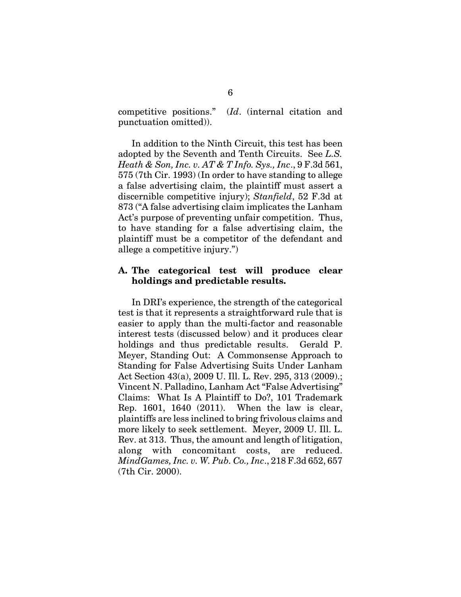competitive positions." (*Id*. (internal citation and punctuation omitted)).

In addition to the Ninth Circuit, this test has been adopted by the Seventh and Tenth Circuits. See *L.S. Heath & Son, Inc. v. AT & T Info. Sys., Inc*., 9 F.3d 561, 575 (7th Cir. 1993) (In order to have standing to allege a false advertising claim, the plaintiff must assert a discernible competitive injury); *Stanfield*, 52 F.3d at 873 ("A false advertising claim implicates the Lanham Act's purpose of preventing unfair competition. Thus, to have standing for a false advertising claim, the plaintiff must be a competitor of the defendant and allege a competitive injury.")

### **A. The categorical test will produce clear holdings and predictable results.**

In DRI's experience, the strength of the categorical test is that it represents a straightforward rule that is easier to apply than the multi-factor and reasonable interest tests (discussed below) and it produces clear holdings and thus predictable results. Gerald P. Meyer, Standing Out: A Commonsense Approach to Standing for False Advertising Suits Under Lanham Act Section 43(a), 2009 U. Ill. L. Rev. 295, 313 (2009).; Vincent N. Palladino, Lanham Act "False Advertising" Claims: What Is A Plaintiff to Do?, 101 Trademark Rep. 1601, 1640 (2011). When the law is clear, plaintiffs are less inclined to bring frivolous claims and more likely to seek settlement. Meyer, 2009 U. Ill. L. Rev. at 313. Thus, the amount and length of litigation, along with concomitant costs, are reduced. *MindGames, Inc. v. W. Pub. Co., Inc*., 218 F.3d 652, 657 (7th Cir. 2000).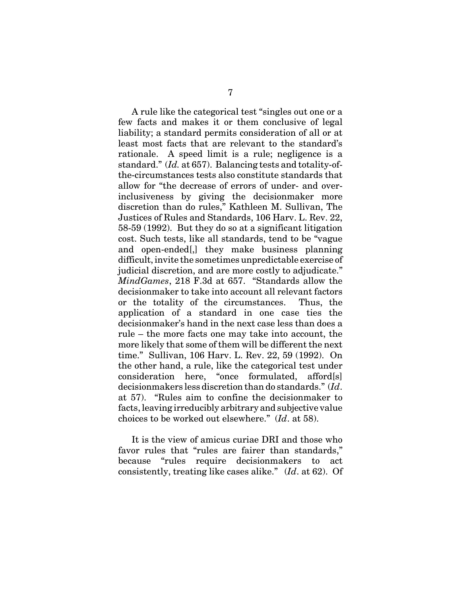A rule like the categorical test "singles out one or a few facts and makes it or them conclusive of legal liability; a standard permits consideration of all or at least most facts that are relevant to the standard's rationale. A speed limit is a rule; negligence is a standard." (*Id.* at 657). Balancing tests and totality-ofthe-circumstances tests also constitute standards that allow for "the decrease of errors of under- and overinclusiveness by giving the decisionmaker more discretion than do rules," Kathleen M. Sullivan, The Justices of Rules and Standards, 106 Harv. L. Rev. 22, 58-59 (1992). But they do so at a significant litigation cost. Such tests, like all standards, tend to be "vague and open-ended[,] they make business planning difficult, invite the sometimes unpredictable exercise of judicial discretion, and are more costly to adjudicate." *MindGames*, 218 F.3d at 657. "Standards allow the decisionmaker to take into account all relevant factors or the totality of the circumstances. Thus, the application of a standard in one case ties the decisionmaker's hand in the next case less than does a rule – the more facts one may take into account, the more likely that some of them will be different the next time." Sullivan, 106 Harv. L. Rev. 22, 59 (1992). On the other hand, a rule, like the categorical test under consideration here, "once formulated, afford[s] decisionmakers less discretion than do standards." (*Id*. at 57). "Rules aim to confine the decisionmaker to facts, leaving irreducibly arbitrary and subjective value choices to be worked out elsewhere." (*Id*. at 58).

It is the view of amicus curiae DRI and those who favor rules that "rules are fairer than standards," because "rules require decisionmakers to act consistently, treating like cases alike." (*Id*. at 62). Of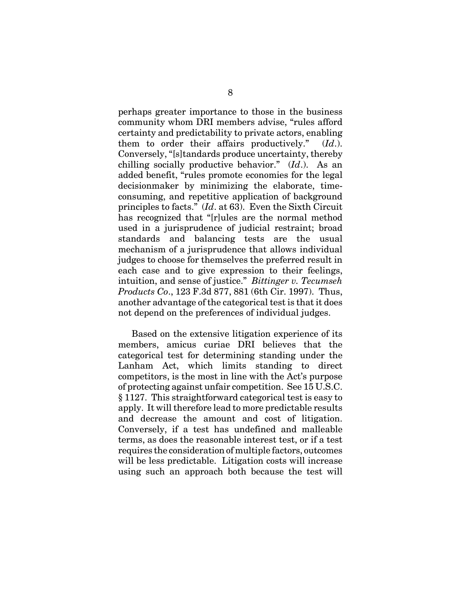perhaps greater importance to those in the business community whom DRI members advise, "rules afford certainty and predictability to private actors, enabling them to order their affairs productively." (*Id*.). Conversely, "[s]tandards produce uncertainty, thereby chilling socially productive behavior." (*Id*.). As an added benefit, "rules promote economies for the legal decisionmaker by minimizing the elaborate, timeconsuming, and repetitive application of background principles to facts." (*Id*. at 63). Even the Sixth Circuit has recognized that "[r]ules are the normal method used in a jurisprudence of judicial restraint; broad standards and balancing tests are the usual mechanism of a jurisprudence that allows individual judges to choose for themselves the preferred result in each case and to give expression to their feelings, intuition, and sense of justice." *Bittinger v. Tecumseh Products Co*., 123 F.3d 877, 881 (6th Cir. 1997). Thus, another advantage of the categorical test is that it does not depend on the preferences of individual judges.

Based on the extensive litigation experience of its members, amicus curiae DRI believes that the categorical test for determining standing under the Lanham Act, which limits standing to direct competitors, is the most in line with the Act's purpose of protecting against unfair competition. See 15 U.S.C. § 1127. This straightforward categorical test is easy to apply. It will therefore lead to more predictable results and decrease the amount and cost of litigation. Conversely, if a test has undefined and malleable terms, as does the reasonable interest test, or if a test requires the consideration of multiple factors, outcomes will be less predictable. Litigation costs will increase using such an approach both because the test will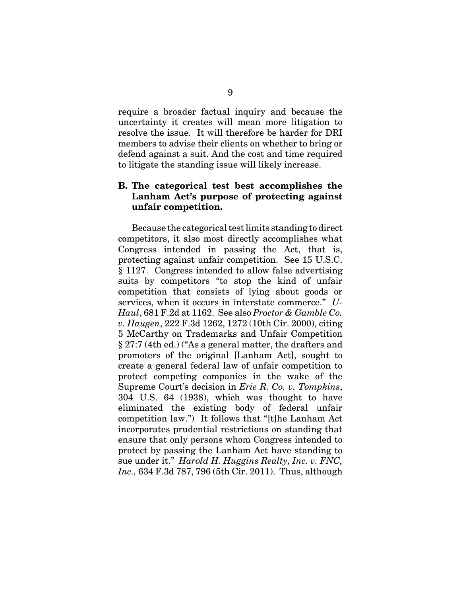require a broader factual inquiry and because the uncertainty it creates will mean more litigation to resolve the issue. It will therefore be harder for DRI members to advise their clients on whether to bring or defend against a suit. And the cost and time required to litigate the standing issue will likely increase.

### **B. The categorical test best accomplishes the Lanham Act's purpose of protecting against unfair competition.**

Because the categorical test limits standing to direct competitors, it also most directly accomplishes what Congress intended in passing the Act, that is, protecting against unfair competition. See 15 U.S.C. § 1127. Congress intended to allow false advertising suits by competitors "to stop the kind of unfair competition that consists of lying about goods or services, when it occurs in interstate commerce." *U-Haul*, 681 F.2d at 1162. See also *Proctor & Gamble Co. v. Haugen*, 222 F.3d 1262, 1272 (10th Cir. 2000), citing 5 McCarthy on Trademarks and Unfair Competition § 27:7 (4th ed.) ("As a general matter, the drafters and promoters of the original [Lanham Act], sought to create a general federal law of unfair competition to protect competing companies in the wake of the Supreme Court's decision in *Erie R. Co. v. Tompkins*, 304 U.S. 64 (1938), which was thought to have eliminated the existing body of federal unfair competition law.") It follows that "[t]he Lanham Act incorporates prudential restrictions on standing that ensure that only persons whom Congress intended to protect by passing the Lanham Act have standing to sue under it." *Harold H. Huggins Realty, Inc. v. FNC, Inc.,* 634 F.3d 787, 796 (5th Cir. 2011). Thus, although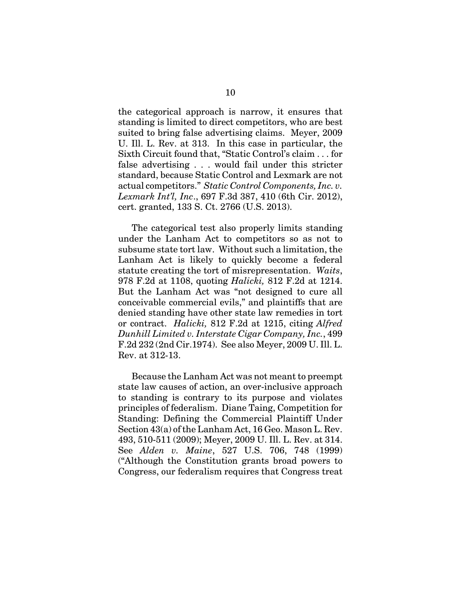the categorical approach is narrow, it ensures that standing is limited to direct competitors, who are best suited to bring false advertising claims. Meyer, 2009 U. Ill. L. Rev. at 313. In this case in particular, the Sixth Circuit found that, "Static Control's claim . . . for false advertising . . . would fail under this stricter standard, because Static Control and Lexmark are not actual competitors." *Static Control Components, Inc. v. Lexmark Int'l, Inc*., 697 F.3d 387, 410 (6th Cir. 2012), cert. granted, 133 S. Ct. 2766 (U.S. 2013).

The categorical test also properly limits standing under the Lanham Act to competitors so as not to subsume state tort law. Without such a limitation, the Lanham Act is likely to quickly become a federal statute creating the tort of misrepresentation. *Waits*, 978 F.2d at 1108, quoting *Halicki,* 812 F.2d at 1214. But the Lanham Act was "not designed to cure all conceivable commercial evils," and plaintiffs that are denied standing have other state law remedies in tort or contract. *Halicki,* 812 F.2d at 1215, citing *Alfred Dunhill Limited v. Interstate Cigar Company, Inc.*, 499 F.2d 232 (2nd Cir.1974). See also Meyer, 2009 U. Ill. L. Rev. at 312-13.

Because the Lanham Act was not meant to preempt state law causes of action, an over-inclusive approach to standing is contrary to its purpose and violates principles of federalism. Diane Taing, Competition for Standing: Defining the Commercial Plaintiff Under Section 43(a) of the Lanham Act, 16 Geo. Mason L. Rev. 493, 510-511 (2009); Meyer, 2009 U. Ill. L. Rev. at 314. See *Alden v. Maine*, 527 U.S. 706, 748 (1999) ("Although the Constitution grants broad powers to Congress, our federalism requires that Congress treat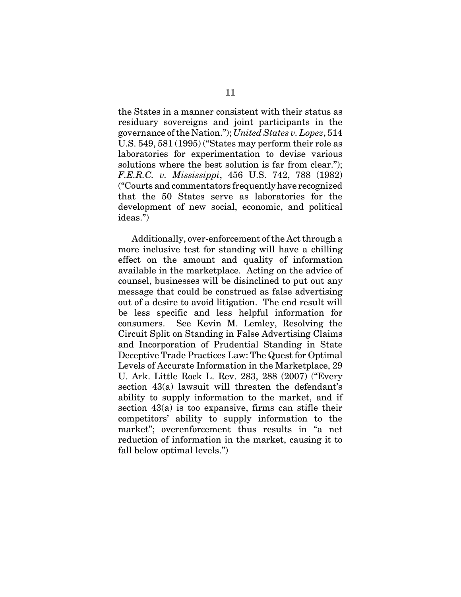the States in a manner consistent with their status as residuary sovereigns and joint participants in the governance of the Nation."); *United States v. Lopez*, 514 U.S. 549, 581 (1995) ("States may perform their role as laboratories for experimentation to devise various solutions where the best solution is far from clear."); *F.E.R.C. v. Mississippi*, 456 U.S. 742, 788 (1982) ("Courts and commentators frequently have recognized that the 50 States serve as laboratories for the development of new social, economic, and political ideas.")

Additionally, over-enforcement of the Act through a more inclusive test for standing will have a chilling effect on the amount and quality of information available in the marketplace. Acting on the advice of counsel, businesses will be disinclined to put out any message that could be construed as false advertising out of a desire to avoid litigation. The end result will be less specific and less helpful information for consumers. See Kevin M. Lemley, Resolving the Circuit Split on Standing in False Advertising Claims and Incorporation of Prudential Standing in State Deceptive Trade Practices Law: The Quest for Optimal Levels of Accurate Information in the Marketplace, 29 U. Ark. Little Rock L. Rev. 283, 288 (2007) ("Every section 43(a) lawsuit will threaten the defendant's ability to supply information to the market, and if section  $43(a)$  is too expansive, firms can stifle their competitors' ability to supply information to the market"; overenforcement thus results in "a net reduction of information in the market, causing it to fall below optimal levels.")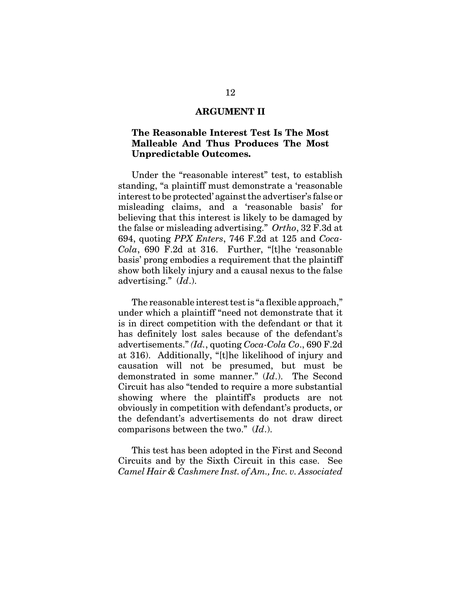### **ARGUMENT II**

### **The Reasonable Interest Test Is The Most Malleable And Thus Produces The Most Unpredictable Outcomes.**

Under the "reasonable interest" test, to establish standing, "a plaintiff must demonstrate a 'reasonable interest to be protected' against the advertiser's false or misleading claims, and a 'reasonable basis' for believing that this interest is likely to be damaged by the false or misleading advertising." *Ortho*, 32 F.3d at 694, quoting *PPX Enters*, 746 F.2d at 125 and *Coca-Cola*, 690 F.2d at 316. Further, "[t]he 'reasonable basis' prong embodies a requirement that the plaintiff show both likely injury and a causal nexus to the false advertising." (*Id*.).

The reasonable interest test is "a flexible approach," under which a plaintiff "need not demonstrate that it is in direct competition with the defendant or that it has definitely lost sales because of the defendant's advertisements." *(Id.*, quoting *Coca-Cola Co*., 690 F.2d at 316). Additionally, "[t]he likelihood of injury and causation will not be presumed, but must be demonstrated in some manner." (*Id*.). The Second Circuit has also "tended to require a more substantial showing where the plaintiff's products are not obviously in competition with defendant's products, or the defendant's advertisements do not draw direct comparisons between the two." (*Id*.).

This test has been adopted in the First and Second Circuits and by the Sixth Circuit in this case. See *Camel Hair & Cashmere Inst. of Am., Inc. v. Associated*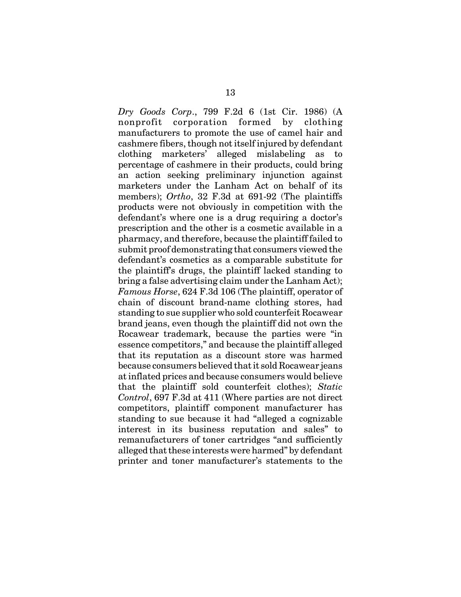*Dry Goods Corp*., 799 F.2d 6 (1st Cir. 1986) (A nonprofit corporation formed by clothing manufacturers to promote the use of camel hair and cashmere fibers, though not itself injured by defendant clothing marketers' alleged mislabeling as to percentage of cashmere in their products, could bring an action seeking preliminary injunction against marketers under the Lanham Act on behalf of its members); *Ortho*, 32 F.3d at 691-92 (The plaintiffs products were not obviously in competition with the defendant's where one is a drug requiring a doctor's prescription and the other is a cosmetic available in a pharmacy, and therefore, because the plaintiff failed to submit proof demonstrating that consumers viewed the defendant's cosmetics as a comparable substitute for the plaintiff's drugs, the plaintiff lacked standing to bring a false advertising claim under the Lanham Act); *Famous Horse*, 624 F.3d 106 (The plaintiff, operator of chain of discount brand-name clothing stores, had standing to sue supplier who sold counterfeit Rocawear brand jeans, even though the plaintiff did not own the Rocawear trademark, because the parties were "in essence competitors," and because the plaintiff alleged that its reputation as a discount store was harmed because consumers believed that it sold Rocawear jeans at inflated prices and because consumers would believe that the plaintiff sold counterfeit clothes); *Static Control*, 697 F.3d at 411 (Where parties are not direct competitors, plaintiff component manufacturer has standing to sue because it had "alleged a cognizable interest in its business reputation and sales" to remanufacturers of toner cartridges "and sufficiently alleged that these interests were harmed" by defendant printer and toner manufacturer's statements to the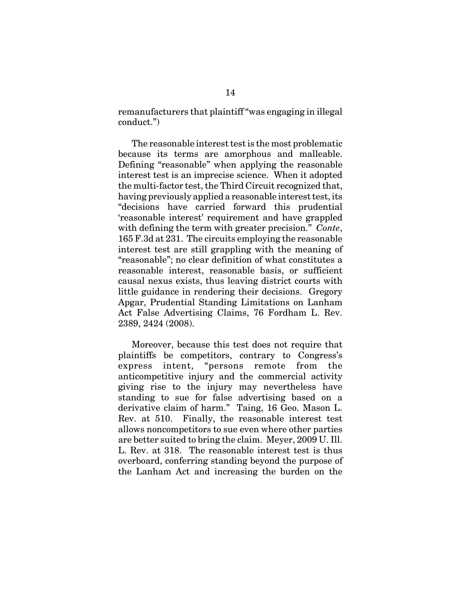remanufacturers that plaintiff "was engaging in illegal conduct.")

The reasonable interest test is the most problematic because its terms are amorphous and malleable. Defining "reasonable" when applying the reasonable interest test is an imprecise science. When it adopted the multi-factor test, the Third Circuit recognized that, having previously applied a reasonable interest test, its "decisions have carried forward this prudential 'reasonable interest' requirement and have grappled with defining the term with greater precision." *Conte*, 165 F.3d at 231. The circuits employing the reasonable interest test are still grappling with the meaning of "reasonable"; no clear definition of what constitutes a reasonable interest, reasonable basis, or sufficient causal nexus exists, thus leaving district courts with little guidance in rendering their decisions. Gregory Apgar, Prudential Standing Limitations on Lanham Act False Advertising Claims, 76 Fordham L. Rev. 2389, 2424 (2008).

Moreover, because this test does not require that plaintiffs be competitors, contrary to Congress's express intent, "persons remote from the anticompetitive injury and the commercial activity giving rise to the injury may nevertheless have standing to sue for false advertising based on a derivative claim of harm." Taing, 16 Geo. Mason L. Rev. at 510. Finally, the reasonable interest test allows noncompetitors to sue even where other parties are better suited to bring the claim. Meyer, 2009 U. Ill. L. Rev. at 318. The reasonable interest test is thus overboard, conferring standing beyond the purpose of the Lanham Act and increasing the burden on the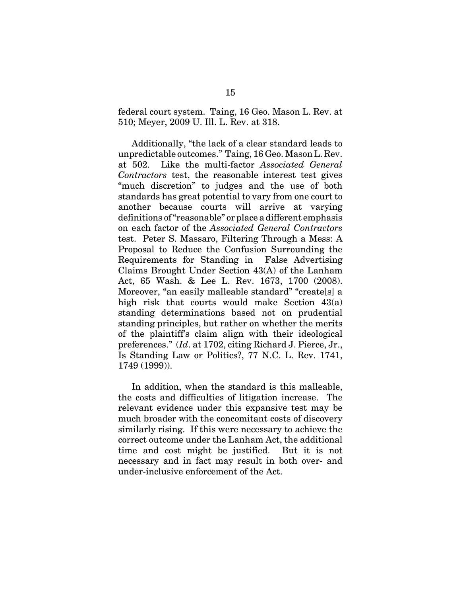federal court system. Taing, 16 Geo. Mason L. Rev. at 510; Meyer, 2009 U. Ill. L. Rev. at 318.

Additionally, "the lack of a clear standard leads to unpredictable outcomes." Taing, 16 Geo. Mason L. Rev. at 502. Like the multi-factor *Associated General Contractors* test, the reasonable interest test gives "much discretion" to judges and the use of both standards has great potential to vary from one court to another because courts will arrive at varying definitions of "reasonable" or place a different emphasis on each factor of the *Associated General Contractors* test. Peter S. Massaro, Filtering Through a Mess: A Proposal to Reduce the Confusion Surrounding the Requirements for Standing in False Advertising Claims Brought Under Section 43(A) of the Lanham Act, 65 Wash. & Lee L. Rev. 1673, 1700 (2008). Moreover, "an easily malleable standard" "create[s] a high risk that courts would make Section 43(a) standing determinations based not on prudential standing principles, but rather on whether the merits of the plaintiff's claim align with their ideological preferences." (*Id*. at 1702, citing Richard J. Pierce, Jr., Is Standing Law or Politics?, 77 N.C. L. Rev. 1741, 1749 (1999)).

In addition, when the standard is this malleable, the costs and difficulties of litigation increase. The relevant evidence under this expansive test may be much broader with the concomitant costs of discovery similarly rising. If this were necessary to achieve the correct outcome under the Lanham Act, the additional time and cost might be justified. But it is not necessary and in fact may result in both over- and under-inclusive enforcement of the Act.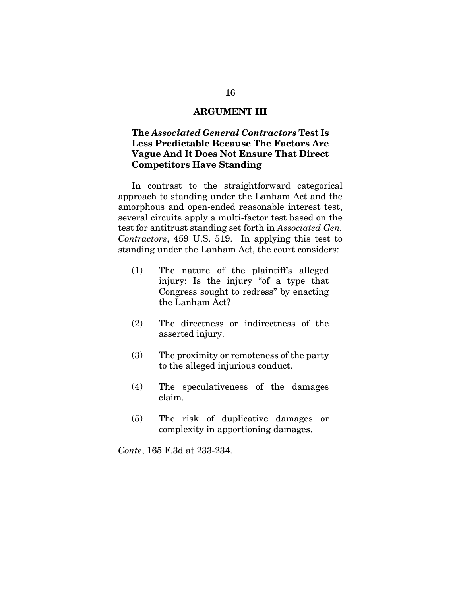### **ARGUMENT III**

## **The** *Associated General Contractors* **Test Is Less Predictable Because The Factors Are Vague And It Does Not Ensure That Direct Competitors Have Standing**

In contrast to the straightforward categorical approach to standing under the Lanham Act and the amorphous and open-ended reasonable interest test, several circuits apply a multi-factor test based on the test for antitrust standing set forth in *Associated Gen. Contractors*, 459 U.S. 519. In applying this test to standing under the Lanham Act, the court considers:

- (1) The nature of the plaintiff's alleged injury: Is the injury "of a type that Congress sought to redress" by enacting the Lanham Act?
- (2) The directness or indirectness of the asserted injury.
- (3) The proximity or remoteness of the party to the alleged injurious conduct.
- (4) The speculativeness of the damages claim.
- (5) The risk of duplicative damages or complexity in apportioning damages.

*Conte*, 165 F.3d at 233-234.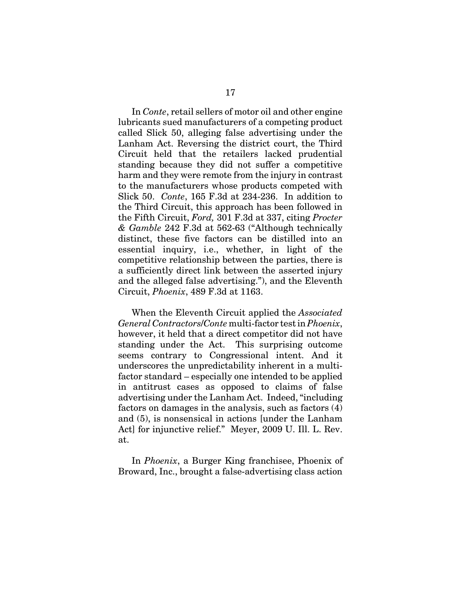In *Conte*, retail sellers of motor oil and other engine lubricants sued manufacturers of a competing product called Slick 50, alleging false advertising under the Lanham Act. Reversing the district court, the Third Circuit held that the retailers lacked prudential standing because they did not suffer a competitive harm and they were remote from the injury in contrast to the manufacturers whose products competed with Slick 50. *Conte*, 165 F.3d at 234-236. In addition to the Third Circuit, this approach has been followed in the Fifth Circuit, *Ford,* 301 F.3d at 337, citing *Procter & Gamble* 242 F.3d at 562-63 ("Although technically distinct, these five factors can be distilled into an essential inquiry, i.e., whether, in light of the competitive relationship between the parties, there is a sufficiently direct link between the asserted injury and the alleged false advertising."), and the Eleventh Circuit, *Phoenix*, 489 F.3d at 1163.

When the Eleventh Circuit applied the *Associated General Contractors*/*Conte* multi-factor test in *Phoenix*, however, it held that a direct competitor did not have standing under the Act. This surprising outcome seems contrary to Congressional intent. And it underscores the unpredictability inherent in a multifactor standard – especially one intended to be applied in antitrust cases as opposed to claims of false advertising under the Lanham Act. Indeed, "including factors on damages in the analysis, such as factors (4) and (5), is nonsensical in actions [under the Lanham Act] for injunctive relief." Meyer, 2009 U. Ill. L. Rev. at.

In *Phoenix*, a Burger King franchisee, Phoenix of Broward, Inc., brought a false-advertising class action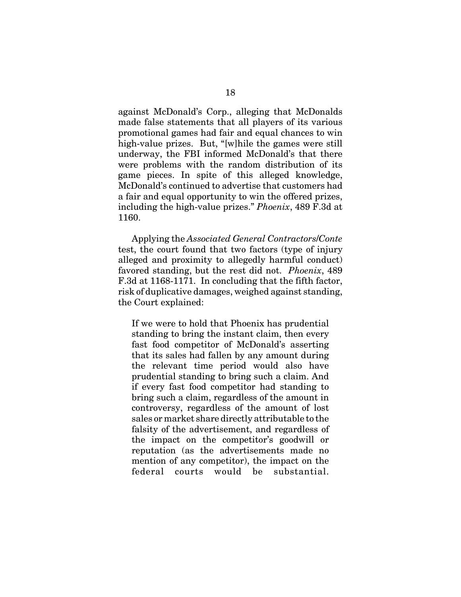against McDonald's Corp., alleging that McDonalds made false statements that all players of its various promotional games had fair and equal chances to win high-value prizes. But, "[w]hile the games were still underway, the FBI informed McDonald's that there were problems with the random distribution of its game pieces. In spite of this alleged knowledge, McDonald's continued to advertise that customers had a fair and equal opportunity to win the offered prizes, including the high-value prizes." *Phoenix*, 489 F.3d at 1160.

Applying the *Associated General Contractors*/*Conte* test, the court found that two factors (type of injury alleged and proximity to allegedly harmful conduct) favored standing, but the rest did not. *Phoenix*, 489 F.3d at 1168-1171. In concluding that the fifth factor, risk of duplicative damages, weighed against standing, the Court explained:

If we were to hold that Phoenix has prudential standing to bring the instant claim, then every fast food competitor of McDonald's asserting that its sales had fallen by any amount during the relevant time period would also have prudential standing to bring such a claim. And if every fast food competitor had standing to bring such a claim, regardless of the amount in controversy, regardless of the amount of lost sales or market share directly attributable to the falsity of the advertisement, and regardless of the impact on the competitor's goodwill or reputation (as the advertisements made no mention of any competitor), the impact on the federal courts would be substantial.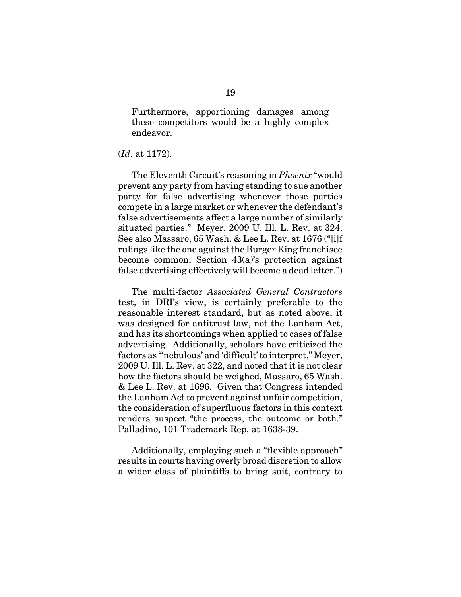Furthermore, apportioning damages among these competitors would be a highly complex endeavor.

#### (*Id*. at 1172).

The Eleventh Circuit's reasoning in *Phoenix* "would prevent any party from having standing to sue another party for false advertising whenever those parties compete in a large market or whenever the defendant's false advertisements affect a large number of similarly situated parties." Meyer, 2009 U. Ill. L. Rev. at 324. See also Massaro, 65 Wash. & Lee L. Rev. at 1676 ("[i]f rulings like the one against the Burger King franchisee become common, Section 43(a)'s protection against false advertising effectively will become a dead letter.")

The multi-factor *Associated General Contractors* test, in DRI's view, is certainly preferable to the reasonable interest standard, but as noted above, it was designed for antitrust law, not the Lanham Act, and has its shortcomings when applied to cases of false advertising. Additionally, scholars have criticized the factors as "'nebulous' and 'difficult' to interpret," Meyer, 2009 U. Ill. L. Rev. at 322, and noted that it is not clear how the factors should be weighed, Massaro, 65 Wash. & Lee L. Rev. at 1696. Given that Congress intended the Lanham Act to prevent against unfair competition, the consideration of superfluous factors in this context renders suspect "the process, the outcome or both." Palladino, 101 Trademark Rep. at 1638-39.

Additionally, employing such a "flexible approach" results in courts having overly broad discretion to allow a wider class of plaintiffs to bring suit, contrary to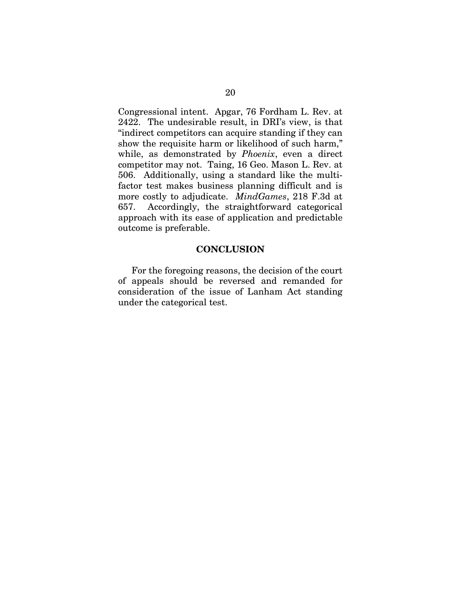Congressional intent. Apgar, 76 Fordham L. Rev. at 2422. The undesirable result, in DRI's view, is that "indirect competitors can acquire standing if they can show the requisite harm or likelihood of such harm," while, as demonstrated by *Phoenix*, even a direct competitor may not. Taing, 16 Geo. Mason L. Rev. at 506. Additionally, using a standard like the multifactor test makes business planning difficult and is more costly to adjudicate. *MindGames*, 218 F.3d at 657. Accordingly, the straightforward categorical approach with its ease of application and predictable outcome is preferable.

### **CONCLUSION**

For the foregoing reasons, the decision of the court of appeals should be reversed and remanded for consideration of the issue of Lanham Act standing under the categorical test.